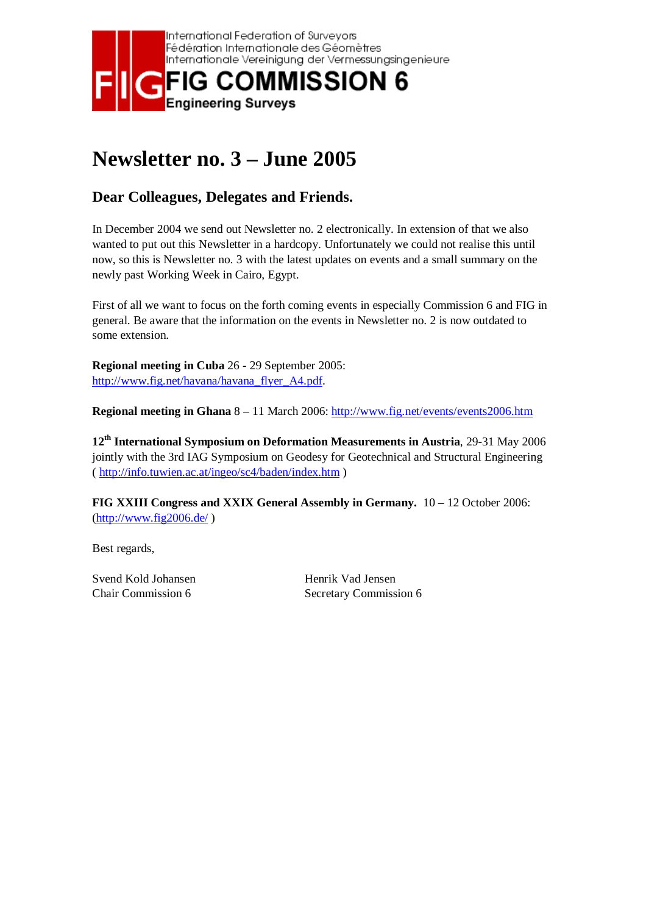

# **Newsletter no. 3 – June 2005**

## **Dear Colleagues, Delegates and Friends.**

In December 2004 we send out Newsletter no. 2 electronically. In extension of that we also wanted to put out this Newsletter in a hardcopy. Unfortunately we could not realise this until now, so this is Newsletter no. 3 with the latest updates on events and a small summary on the newly past Working Week in Cairo, Egypt.

First of all we want to focus on the forth coming events in especially Commission 6 and FIG in general. Be aware that the information on the events in Newsletter no. 2 is now outdated to some extension.

**Regional meeting in Cuba** 26 - 29 September 2005: http://www.fig.net/havana/havana\_flyer\_A4.pdf.

**Regional meeting in Ghana** 8 – 11 March 2006: http://www.fig.net/events/events2006.htm

**12th International Symposium on Deformation Measurements in Austria**, 29-31 May 2006 jointly with the 3rd IAG Symposium on Geodesy for Geotechnical and Structural Engineering ( http://info.tuwien.ac.at/ingeo/sc4/baden/index.htm )

**FIG XXIII Congress and XXIX General Assembly in Germany.** 10 – 12 October 2006: (http://www.fig2006.de/ )

Best regards,

Svend Kold Johansen Henrik Vad Jensen

Chair Commission 6 Secretary Commission 6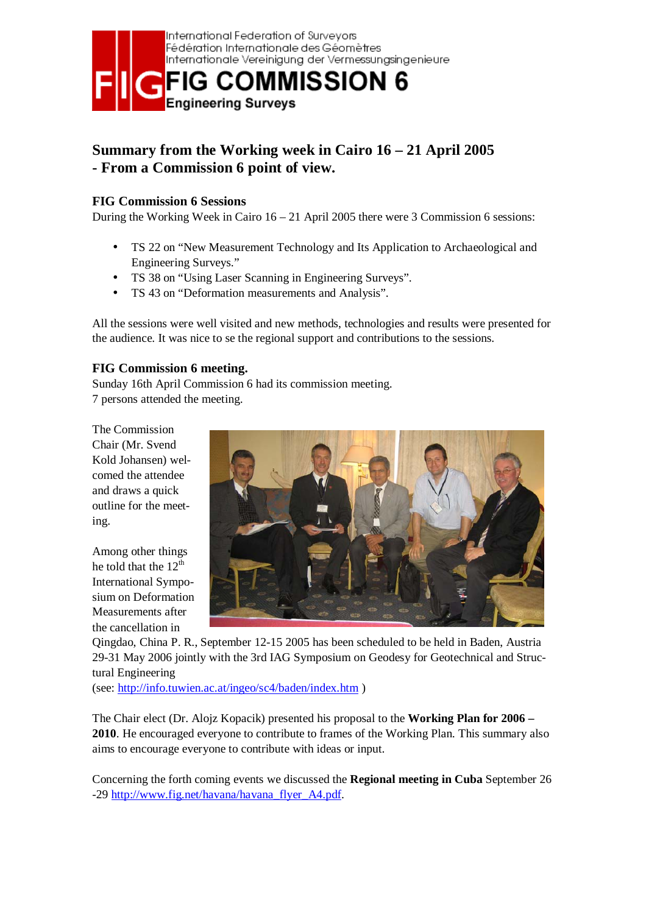

# **Summary from the Working week in Cairo 16 – 21 April 2005 - From a Commission 6 point of view.**

## **FIG Commission 6 Sessions**

During the Working Week in Cairo 16 – 21 April 2005 there were 3 Commission 6 sessions:

- TS 22 on "New Measurement Technology and Its Application to Archaeological and Engineering Surveys."
- TS 38 on "Using Laser Scanning in Engineering Surveys".
- TS 43 on "Deformation measurements and Analysis".

All the sessions were well visited and new methods, technologies and results were presented for the audience. It was nice to se the regional support and contributions to the sessions.

### **FIG Commission 6 meeting.**

Sunday 16th April Commission 6 had its commission meeting. 7 persons attended the meeting.

The Commission Chair (Mr. Svend Kold Johansen) welcomed the attendee and draws a quick outline for the meeting.

Among other things he told that the  $12<sup>th</sup>$ International Symposium on Deformation Measurements after the cancellation in



Qingdao, China P. R., September 12-15 2005 has been scheduled to be held in Baden, Austria 29-31 May 2006 jointly with the 3rd IAG Symposium on Geodesy for Geotechnical and Structural Engineering

(see: http://info.tuwien.ac.at/ingeo/sc4/baden/index.htm )

The Chair elect (Dr. Alojz Kopacik) presented his proposal to the **Working Plan for 2006 – 2010**. He encouraged everyone to contribute to frames of the Working Plan. This summary also aims to encourage everyone to contribute with ideas or input.

Concerning the forth coming events we discussed the **Regional meeting in Cuba** September 26 -29 http://www.fig.net/havana/havana\_flyer\_A4.pdf.